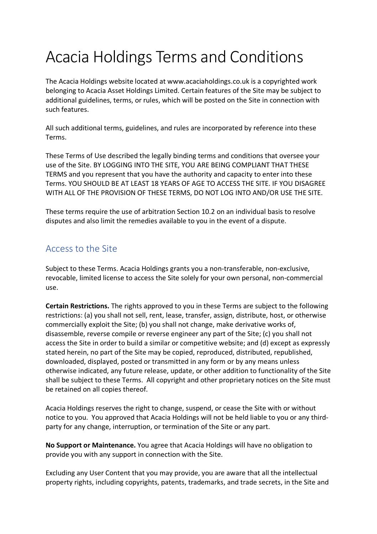# Acacia Holdings Terms and Conditions

The Acacia Holdings website located at www.acaciaholdings.co.uk is a copyrighted work belonging to Acacia Asset Holdings Limited. Certain features of the Site may be subject to additional guidelines, terms, or rules, which will be posted on the Site in connection with such features.

All such additional terms, guidelines, and rules are incorporated by reference into these Terms.

These Terms of Use described the legally binding terms and conditions that oversee your use of the Site. BY LOGGING INTO THE SITE, YOU ARE BEING COMPLIANT THAT THESE TERMS and you represent that you have the authority and capacity to enter into these Terms. YOU SHOULD BE AT LEAST 18 YEARS OF AGE TO ACCESS THE SITE. IF YOU DISAGREE WITH ALL OF THE PROVISION OF THESE TERMS, DO NOT LOG INTO AND/OR USE THE SITE.

These terms require the use of arbitration Section 10.2 on an individual basis to resolve disputes and also limit the remedies available to you in the event of a dispute.

## Access to the Site

Subject to these Terms. Acacia Holdings grants you a non-transferable, non-exclusive, revocable, limited license to access the Site solely for your own personal, non-commercial use.

**Certain Restrictions.** The rights approved to you in these Terms are subject to the following restrictions: (a) you shall not sell, rent, lease, transfer, assign, distribute, host, or otherwise commercially exploit the Site; (b) you shall not change, make derivative works of, disassemble, reverse compile or reverse engineer any part of the Site; (c) you shall not access the Site in order to build a similar or competitive website; and (d) except as expressly stated herein, no part of the Site may be copied, reproduced, distributed, republished, downloaded, displayed, posted or transmitted in any form or by any means unless otherwise indicated, any future release, update, or other addition to functionality of the Site shall be subject to these Terms. All copyright and other proprietary notices on the Site must be retained on all copies thereof.

Acacia Holdings reserves the right to change, suspend, or cease the Site with or without notice to you. You approved that Acacia Holdings will not be held liable to you or any thirdparty for any change, interruption, or termination of the Site or any part.

**No Support or Maintenance.** You agree that Acacia Holdings will have no obligation to provide you with any support in connection with the Site.

Excluding any User Content that you may provide, you are aware that all the intellectual property rights, including copyrights, patents, trademarks, and trade secrets, in the Site and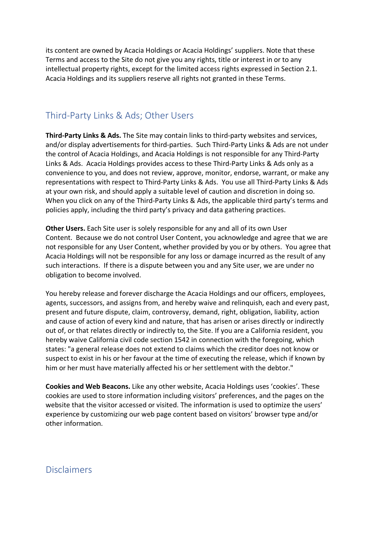its content are owned by Acacia Holdings or Acacia Holdings' suppliers. Note that these Terms and access to the Site do not give you any rights, title or interest in or to any intellectual property rights, except for the limited access rights expressed in Section 2.1. Acacia Holdings and its suppliers reserve all rights not granted in these Terms.

#### Third-Party Links & Ads; Other Users

**Third-Party Links & Ads.** The Site may contain links to third-party websites and services, and/or display advertisements for third-parties. Such Third-Party Links & Ads are not under the control of Acacia Holdings, and Acacia Holdings is not responsible for any Third-Party Links & Ads. Acacia Holdings provides access to these Third-Party Links & Ads only as a convenience to you, and does not review, approve, monitor, endorse, warrant, or make any representations with respect to Third-Party Links & Ads. You use all Third-Party Links & Ads at your own risk, and should apply a suitable level of caution and discretion in doing so. When you click on any of the Third-Party Links & Ads, the applicable third party's terms and policies apply, including the third party's privacy and data gathering practices.

**Other Users.** Each Site user is solely responsible for any and all of its own User Content. Because we do not control User Content, you acknowledge and agree that we are not responsible for any User Content, whether provided by you or by others. You agree that Acacia Holdings will not be responsible for any loss or damage incurred as the result of any such interactions. If there is a dispute between you and any Site user, we are under no obligation to become involved.

You hereby release and forever discharge the Acacia Holdings and our officers, employees, agents, successors, and assigns from, and hereby waive and relinquish, each and every past, present and future dispute, claim, controversy, demand, right, obligation, liability, action and cause of action of every kind and nature, that has arisen or arises directly or indirectly out of, or that relates directly or indirectly to, the Site. If you are a California resident, you hereby waive California civil code section 1542 in connection with the foregoing, which states: "a general release does not extend to claims which the creditor does not know or suspect to exist in his or her favour at the time of executing the release, which if known by him or her must have materially affected his or her settlement with the debtor."

**Cookies and Web Beacons.** Like any other website, Acacia Holdings uses 'cookies'. These cookies are used to store information including visitors' preferences, and the pages on the website that the visitor accessed or visited. The information is used to optimize the users' experience by customizing our web page content based on visitors' browser type and/or other information.

**Disclaimers**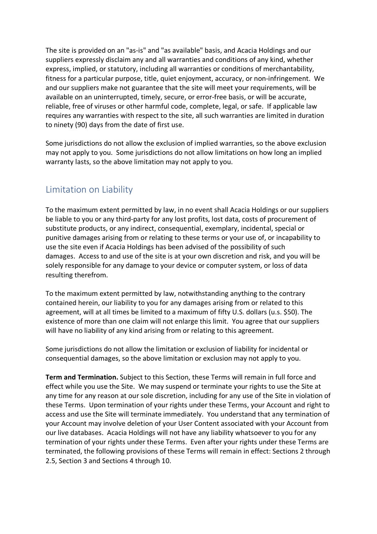The site is provided on an "as-is" and "as available" basis, and Acacia Holdings and our suppliers expressly disclaim any and all warranties and conditions of any kind, whether express, implied, or statutory, including all warranties or conditions of merchantability, fitness for a particular purpose, title, quiet enjoyment, accuracy, or non-infringement. We and our suppliers make not guarantee that the site will meet your requirements, will be available on an uninterrupted, timely, secure, or error-free basis, or will be accurate, reliable, free of viruses or other harmful code, complete, legal, or safe. If applicable law requires any warranties with respect to the site, all such warranties are limited in duration to ninety (90) days from the date of first use.

Some jurisdictions do not allow the exclusion of implied warranties, so the above exclusion may not apply to you. Some jurisdictions do not allow limitations on how long an implied warranty lasts, so the above limitation may not apply to you.

### Limitation on Liability

To the maximum extent permitted by law, in no event shall Acacia Holdings or our suppliers be liable to you or any third-party for any lost profits, lost data, costs of procurement of substitute products, or any indirect, consequential, exemplary, incidental, special or punitive damages arising from or relating to these terms or your use of, or incapability to use the site even if Acacia Holdings has been advised of the possibility of such damages. Access to and use of the site is at your own discretion and risk, and you will be solely responsible for any damage to your device or computer system, or loss of data resulting therefrom.

To the maximum extent permitted by law, notwithstanding anything to the contrary contained herein, our liability to you for any damages arising from or related to this agreement, will at all times be limited to a maximum of fifty U.S. dollars (u.s. \$50). The existence of more than one claim will not enlarge this limit. You agree that our suppliers will have no liability of any kind arising from or relating to this agreement.

Some jurisdictions do not allow the limitation or exclusion of liability for incidental or consequential damages, so the above limitation or exclusion may not apply to you.

**Term and Termination.** Subject to this Section, these Terms will remain in full force and effect while you use the Site. We may suspend or terminate your rights to use the Site at any time for any reason at our sole discretion, including for any use of the Site in violation of these Terms. Upon termination of your rights under these Terms, your Account and right to access and use the Site will terminate immediately. You understand that any termination of your Account may involve deletion of your User Content associated with your Account from our live databases. Acacia Holdings will not have any liability whatsoever to you for any termination of your rights under these Terms. Even after your rights under these Terms are terminated, the following provisions of these Terms will remain in effect: Sections 2 through 2.5, Section 3 and Sections 4 through 10.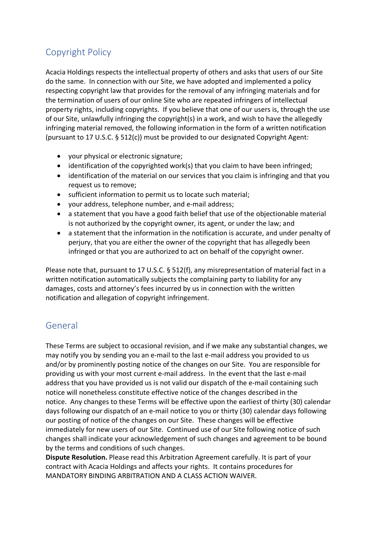# Copyright Policy

Acacia Holdings respects the intellectual property of others and asks that users of our Site do the same. In connection with our Site, we have adopted and implemented a policy respecting copyright law that provides for the removal of any infringing materials and for the termination of users of our online Site who are repeated infringers of intellectual property rights, including copyrights. If you believe that one of our users is, through the use of our Site, unlawfully infringing the copyright(s) in a work, and wish to have the allegedly infringing material removed, the following information in the form of a written notification (pursuant to 17 U.S.C. § 512(c)) must be provided to our designated Copyright Agent:

- your physical or electronic signature;
- identification of the copyrighted work(s) that you claim to have been infringed;
- identification of the material on our services that you claim is infringing and that you request us to remove;
- sufficient information to permit us to locate such material;
- your address, telephone number, and e-mail address;
- a statement that you have a good faith belief that use of the objectionable material is not authorized by the copyright owner, its agent, or under the law; and
- a statement that the information in the notification is accurate, and under penalty of perjury, that you are either the owner of the copyright that has allegedly been infringed or that you are authorized to act on behalf of the copyright owner.

Please note that, pursuant to 17 U.S.C. § 512(f), any misrepresentation of material fact in a written notification automatically subjects the complaining party to liability for any damages, costs and attorney's fees incurred by us in connection with the written notification and allegation of copyright infringement.

### General

These Terms are subject to occasional revision, and if we make any substantial changes, we may notify you by sending you an e-mail to the last e-mail address you provided to us and/or by prominently posting notice of the changes on our Site. You are responsible for providing us with your most current e-mail address. In the event that the last e-mail address that you have provided us is not valid our dispatch of the e-mail containing such notice will nonetheless constitute effective notice of the changes described in the notice. Any changes to these Terms will be effective upon the earliest of thirty (30) calendar days following our dispatch of an e-mail notice to you or thirty (30) calendar days following our posting of notice of the changes on our Site. These changes will be effective immediately for new users of our Site. Continued use of our Site following notice of such changes shall indicate your acknowledgement of such changes and agreement to be bound by the terms and conditions of such changes.

**Dispute Resolution.** Please read this Arbitration Agreement carefully. It is part of your contract with Acacia Holdings and affects your rights. It contains procedures for MANDATORY BINDING ARBITRATION AND A CLASS ACTION WAIVER.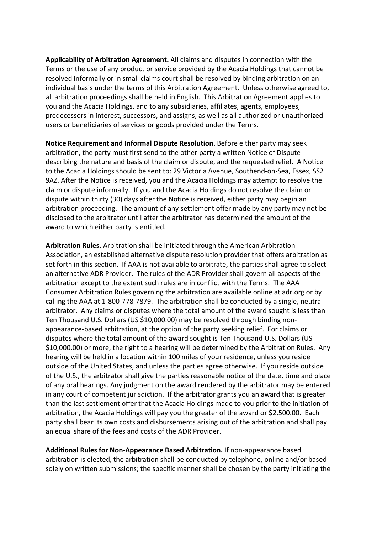**Applicability of Arbitration Agreement.** All claims and disputes in connection with the Terms or the use of any product or service provided by the Acacia Holdings that cannot be resolved informally or in small claims court shall be resolved by binding arbitration on an individual basis under the terms of this Arbitration Agreement. Unless otherwise agreed to, all arbitration proceedings shall be held in English. This Arbitration Agreement applies to you and the Acacia Holdings, and to any subsidiaries, affiliates, agents, employees, predecessors in interest, successors, and assigns, as well as all authorized or unauthorized users or beneficiaries of services or goods provided under the Terms.

**Notice Requirement and Informal Dispute Resolution.** Before either party may seek arbitration, the party must first send to the other party a written Notice of Dispute describing the nature and basis of the claim or dispute, and the requested relief. A Notice to the Acacia Holdings should be sent to: 29 Victoria Avenue, Southend-on-Sea, Essex, SS2 9AZ. After the Notice is received, you and the Acacia Holdings may attempt to resolve the claim or dispute informally. If you and the Acacia Holdings do not resolve the claim or dispute within thirty (30) days after the Notice is received, either party may begin an arbitration proceeding. The amount of any settlement offer made by any party may not be disclosed to the arbitrator until after the arbitrator has determined the amount of the award to which either party is entitled.

**Arbitration Rules.** Arbitration shall be initiated through the American Arbitration Association, an established alternative dispute resolution provider that offers arbitration as set forth in this section. If AAA is not available to arbitrate, the parties shall agree to select an alternative ADR Provider. The rules of the ADR Provider shall govern all aspects of the arbitration except to the extent such rules are in conflict with the Terms. The AAA Consumer Arbitration Rules governing the arbitration are available online at adr.org or by calling the AAA at 1-800-778-7879. The arbitration shall be conducted by a single, neutral arbitrator. Any claims or disputes where the total amount of the award sought is less than Ten Thousand U.S. Dollars (US \$10,000.00) may be resolved through binding nonappearance-based arbitration, at the option of the party seeking relief. For claims or disputes where the total amount of the award sought is Ten Thousand U.S. Dollars (US \$10,000.00) or more, the right to a hearing will be determined by the Arbitration Rules. Any hearing will be held in a location within 100 miles of your residence, unless you reside outside of the United States, and unless the parties agree otherwise. If you reside outside of the U.S., the arbitrator shall give the parties reasonable notice of the date, time and place of any oral hearings. Any judgment on the award rendered by the arbitrator may be entered in any court of competent jurisdiction. If the arbitrator grants you an award that is greater than the last settlement offer that the Acacia Holdings made to you prior to the initiation of arbitration, the Acacia Holdings will pay you the greater of the award or \$2,500.00. Each party shall bear its own costs and disbursements arising out of the arbitration and shall pay an equal share of the fees and costs of the ADR Provider.

**Additional Rules for Non-Appearance Based Arbitration.** If non-appearance based arbitration is elected, the arbitration shall be conducted by telephone, online and/or based solely on written submissions; the specific manner shall be chosen by the party initiating the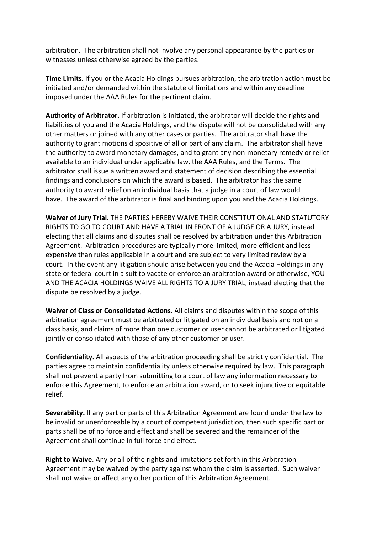arbitration. The arbitration shall not involve any personal appearance by the parties or witnesses unless otherwise agreed by the parties.

**Time Limits.** If you or the Acacia Holdings pursues arbitration, the arbitration action must be initiated and/or demanded within the statute of limitations and within any deadline imposed under the AAA Rules for the pertinent claim.

**Authority of Arbitrator.** If arbitration is initiated, the arbitrator will decide the rights and liabilities of you and the Acacia Holdings, and the dispute will not be consolidated with any other matters or joined with any other cases or parties. The arbitrator shall have the authority to grant motions dispositive of all or part of any claim. The arbitrator shall have the authority to award monetary damages, and to grant any non-monetary remedy or relief available to an individual under applicable law, the AAA Rules, and the Terms. The arbitrator shall issue a written award and statement of decision describing the essential findings and conclusions on which the award is based. The arbitrator has the same authority to award relief on an individual basis that a judge in a court of law would have. The award of the arbitrator is final and binding upon you and the Acacia Holdings.

**Waiver of Jury Trial.** THE PARTIES HEREBY WAIVE THEIR CONSTITUTIONAL AND STATUTORY RIGHTS TO GO TO COURT AND HAVE A TRIAL IN FRONT OF A JUDGE OR A JURY, instead electing that all claims and disputes shall be resolved by arbitration under this Arbitration Agreement. Arbitration procedures are typically more limited, more efficient and less expensive than rules applicable in a court and are subject to very limited review by a court. In the event any litigation should arise between you and the Acacia Holdings in any state or federal court in a suit to vacate or enforce an arbitration award or otherwise, YOU AND THE ACACIA HOLDINGS WAIVE ALL RIGHTS TO A JURY TRIAL, instead electing that the dispute be resolved by a judge.

**Waiver of Class or Consolidated Actions.** All claims and disputes within the scope of this arbitration agreement must be arbitrated or litigated on an individual basis and not on a class basis, and claims of more than one customer or user cannot be arbitrated or litigated jointly or consolidated with those of any other customer or user.

**Confidentiality.** All aspects of the arbitration proceeding shall be strictly confidential. The parties agree to maintain confidentiality unless otherwise required by law. This paragraph shall not prevent a party from submitting to a court of law any information necessary to enforce this Agreement, to enforce an arbitration award, or to seek injunctive or equitable relief.

**Severability.** If any part or parts of this Arbitration Agreement are found under the law to be invalid or unenforceable by a court of competent jurisdiction, then such specific part or parts shall be of no force and effect and shall be severed and the remainder of the Agreement shall continue in full force and effect.

**Right to Waive**. Any or all of the rights and limitations set forth in this Arbitration Agreement may be waived by the party against whom the claim is asserted. Such waiver shall not waive or affect any other portion of this Arbitration Agreement.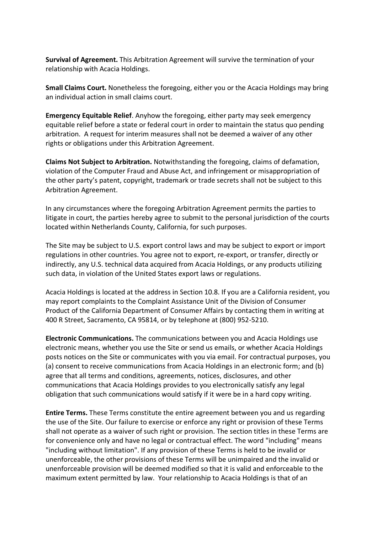**Survival of Agreement.** This Arbitration Agreement will survive the termination of your relationship with Acacia Holdings.

**Small Claims Court.** Nonetheless the foregoing, either you or the Acacia Holdings may bring an individual action in small claims court.

**Emergency Equitable Relief**. Anyhow the foregoing, either party may seek emergency equitable relief before a state or federal court in order to maintain the status quo pending arbitration. A request for interim measures shall not be deemed a waiver of any other rights or obligations under this Arbitration Agreement.

**Claims Not Subject to Arbitration.** Notwithstanding the foregoing, claims of defamation, violation of the Computer Fraud and Abuse Act, and infringement or misappropriation of the other party's patent, copyright, trademark or trade secrets shall not be subject to this Arbitration Agreement.

In any circumstances where the foregoing Arbitration Agreement permits the parties to litigate in court, the parties hereby agree to submit to the personal jurisdiction of the courts located within Netherlands County, California, for such purposes.

The Site may be subject to U.S. export control laws and may be subject to export or import regulations in other countries. You agree not to export, re-export, or transfer, directly or indirectly, any U.S. technical data acquired from Acacia Holdings, or any products utilizing such data, in violation of the United States export laws or regulations.

Acacia Holdings is located at the address in Section 10.8. If you are a California resident, you may report complaints to the Complaint Assistance Unit of the Division of Consumer Product of the California Department of Consumer Affairs by contacting them in writing at 400 R Street, Sacramento, CA 95814, or by telephone at (800) 952-5210.

**Electronic Communications.** The communications between you and Acacia Holdings use electronic means, whether you use the Site or send us emails, or whether Acacia Holdings posts notices on the Site or communicates with you via email. For contractual purposes, you (a) consent to receive communications from Acacia Holdings in an electronic form; and (b) agree that all terms and conditions, agreements, notices, disclosures, and other communications that Acacia Holdings provides to you electronically satisfy any legal obligation that such communications would satisfy if it were be in a hard copy writing.

**Entire Terms.** These Terms constitute the entire agreement between you and us regarding the use of the Site. Our failure to exercise or enforce any right or provision of these Terms shall not operate as a waiver of such right or provision. The section titles in these Terms are for convenience only and have no legal or contractual effect. The word "including" means "including without limitation". If any provision of these Terms is held to be invalid or unenforceable, the other provisions of these Terms will be unimpaired and the invalid or unenforceable provision will be deemed modified so that it is valid and enforceable to the maximum extent permitted by law. Your relationship to Acacia Holdings is that of an